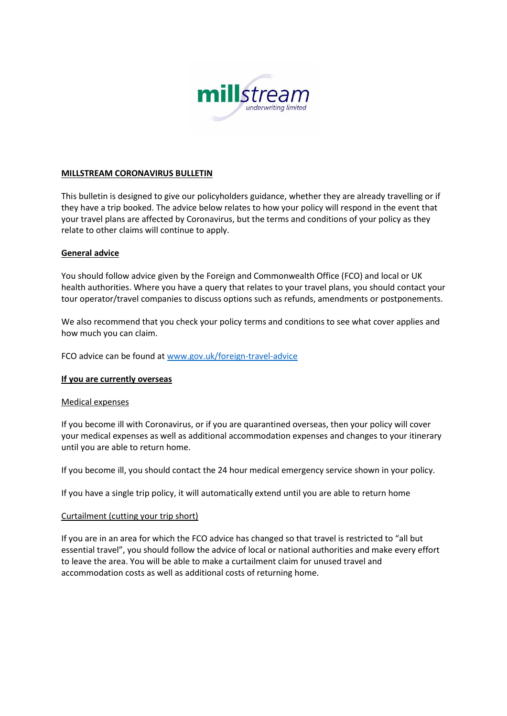

### **MILLSTREAM CORONAVIRUS BULLETIN**

This bulletin is designed to give our policyholders guidance, whether they are already travelling or if they have a trip booked. The advice below relates to how your policy will respond in the event that your travel plans are affected by Coronavirus, but the terms and conditions of your policy as they relate to other claims will continue to apply.

### **General advice**

You should follow advice given by the Foreign and Commonwealth Office (FCO) and local or UK health authorities. Where you have a query that relates to your travel plans, you should contact your tour operator/travel companies to discuss options such as refunds, amendments or postponements.

We also recommend that you check your policy terms and conditions to see what cover applies and how much you can claim.

FCO advice can be found at [www.gov.uk/foreign-travel-advice](http://www.gov.uk/foreign-travel-advice)

### **If you are currently overseas**

#### Medical expenses

If you become ill with Coronavirus, or if you are quarantined overseas, then your policy will cover your medical expenses as well as additional accommodation expenses and changes to your itinerary until you are able to return home.

If you become ill, you should contact the 24 hour medical emergency service shown in your policy.

If you have a single trip policy, it will automatically extend until you are able to return home

#### Curtailment (cutting your trip short)

If you are in an area for which the FCO advice has changed so that travel is restricted to "all but essential travel", you should follow the advice of local or national authorities and make every effort to leave the area. You will be able to make a curtailment claim for unused travel and accommodation costs as well as additional costs of returning home.